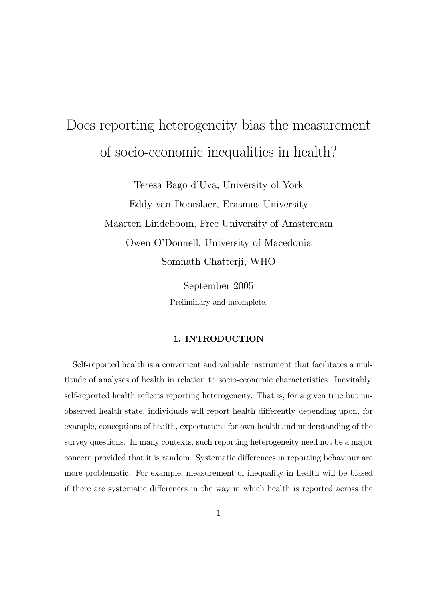# Does reporting heterogeneity bias the measurement of socio-economic inequalities in health?

Teresa Bago d'Uva, University of York Eddy van Doorslaer, Erasmus University Maarten Lindeboom, Free University of Amsterdam Owen O'Donnell, University of Macedonia Somnath Chatterji, WHO

> September 2005 Preliminary and incomplete.

#### 1. INTRODUCTION

Self-reported health is a convenient and valuable instrument that facilitates a multitude of analyses of health in relation to socio-economic characteristics. Inevitably, self-reported health reflects reporting heterogeneity. That is, for a given true but unobserved health state, individuals will report health differently depending upon, for example, conceptions of health, expectations for own health and understanding of the survey questions. In many contexts, such reporting heterogeneity need not be a major concern provided that it is random. Systematic differences in reporting behaviour are more problematic. For example, measurement of inequality in health will be biased if there are systematic differences in the way in which health is reported across the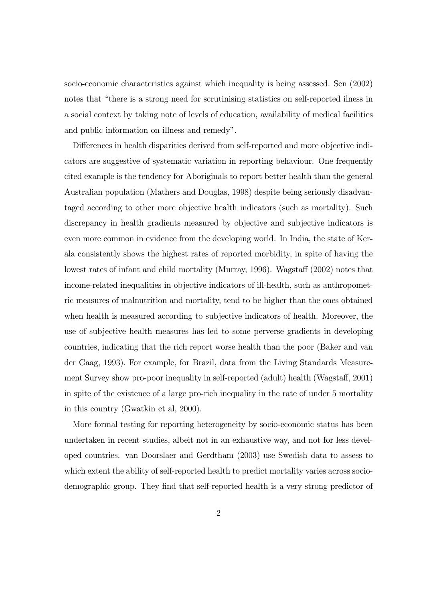socio-economic characteristics against which inequality is being assessed. Sen (2002) notes that "there is a strong need for scrutinising statistics on self-reported ilness in a social context by taking note of levels of education, availability of medical facilities and public information on illness and remedy".

Differences in health disparities derived from self-reported and more objective indicators are suggestive of systematic variation in reporting behaviour. One frequently cited example is the tendency for Aboriginals to report better health than the general Australian population (Mathers and Douglas, 1998) despite being seriously disadvantaged according to other more objective health indicators (such as mortality). Such discrepancy in health gradients measured by objective and subjective indicators is even more common in evidence from the developing world. In India, the state of Kerala consistently shows the highest rates of reported morbidity, in spite of having the lowest rates of infant and child mortality (Murray, 1996). Wagstaff (2002) notes that income-related inequalities in objective indicators of ill-health, such as anthropometric measures of malnutrition and mortality, tend to be higher than the ones obtained when health is measured according to subjective indicators of health. Moreover, the use of subjective health measures has led to some perverse gradients in developing countries, indicating that the rich report worse health than the poor (Baker and van der Gaag, 1993). For example, for Brazil, data from the Living Standards Measurement Survey show pro-poor inequality in self-reported (adult) health (Wagstaff, 2001) in spite of the existence of a large pro-rich inequality in the rate of under 5 mortality in this country (Gwatkin et al, 2000).

More formal testing for reporting heterogeneity by socio-economic status has been undertaken in recent studies, albeit not in an exhaustive way, and not for less developed countries. van Doorslaer and Gerdtham (2003) use Swedish data to assess to which extent the ability of self-reported health to predict mortality varies across sociodemographic group. They find that self-reported health is a very strong predictor of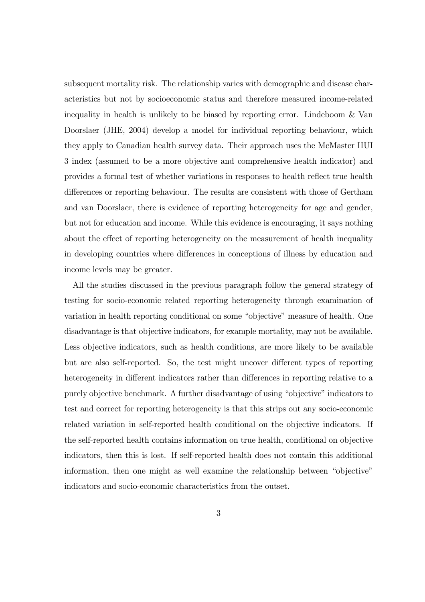subsequent mortality risk. The relationship varies with demographic and disease characteristics but not by socioeconomic status and therefore measured income-related inequality in health is unlikely to be biased by reporting error. Lindeboom & Van Doorslaer (JHE, 2004) develop a model for individual reporting behaviour, which they apply to Canadian health survey data. Their approach uses the McMaster HUI 3 index (assumed to be a more objective and comprehensive health indicator) and provides a formal test of whether variations in responses to health reflect true health differences or reporting behaviour. The results are consistent with those of Gertham and van Doorslaer, there is evidence of reporting heterogeneity for age and gender, but not for education and income. While this evidence is encouraging, it says nothing about the effect of reporting heterogeneity on the measurement of health inequality in developing countries where differences in conceptions of illness by education and income levels may be greater.

All the studies discussed in the previous paragraph follow the general strategy of testing for socio-economic related reporting heterogeneity through examination of variation in health reporting conditional on some "objective" measure of health. One disadvantage is that objective indicators, for example mortality, may not be available. Less objective indicators, such as health conditions, are more likely to be available but are also self-reported. So, the test might uncover different types of reporting heterogeneity in different indicators rather than differences in reporting relative to a purely objective benchmark. A further disadvantage of using "objective" indicators to test and correct for reporting heterogeneity is that this strips out any socio-economic related variation in self-reported health conditional on the objective indicators. If the self-reported health contains information on true health, conditional on objective indicators, then this is lost. If self-reported health does not contain this additional information, then one might as well examine the relationship between "objective" indicators and socio-economic characteristics from the outset.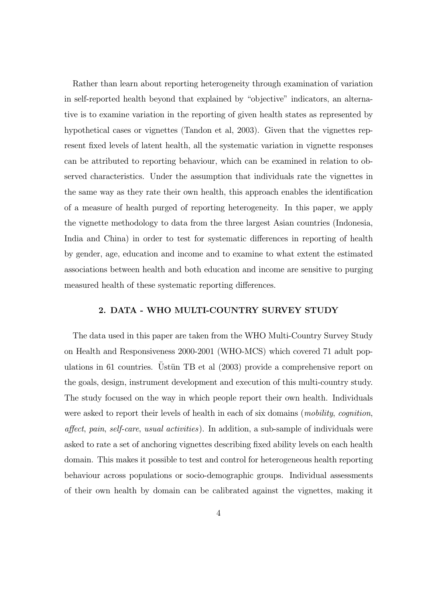Rather than learn about reporting heterogeneity through examination of variation in self-reported health beyond that explained by "objective" indicators, an alternative is to examine variation in the reporting of given health states as represented by hypothetical cases or vignettes (Tandon et al, 2003). Given that the vignettes represent fixed levels of latent health, all the systematic variation in vignette responses can be attributed to reporting behaviour, which can be examined in relation to observed characteristics. Under the assumption that individuals rate the vignettes in the same way as they rate their own health, this approach enables the identification of a measure of health purged of reporting heterogeneity. In this paper, we apply the vignette methodology to data from the three largest Asian countries (Indonesia, India and China) in order to test for systematic differences in reporting of health by gender, age, education and income and to examine to what extent the estimated associations between health and both education and income are sensitive to purging measured health of these systematic reporting differences.

## 2. DATA - WHO MULTI-COUNTRY SURVEY STUDY

The data used in this paper are taken from the WHO Multi-Country Survey Study on Health and Responsiveness 2000-2001 (WHO-MCS) which covered 71 adult populations in 61 countries. Ustün TB et al  $(2003)$  provide a comprehensive report on the goals, design, instrument development and execution of this multi-country study. The study focused on the way in which people report their own health. Individuals were asked to report their levels of health in each of six domains (*mobility, cognition*, affect, pain, self-care, usual activities). In addition, a sub-sample of individuals were asked to rate a set of anchoring vignettes describing fixed ability levels on each health domain. This makes it possible to test and control for heterogeneous health reporting behaviour across populations or socio-demographic groups. Individual assessments of their own health by domain can be calibrated against the vignettes, making it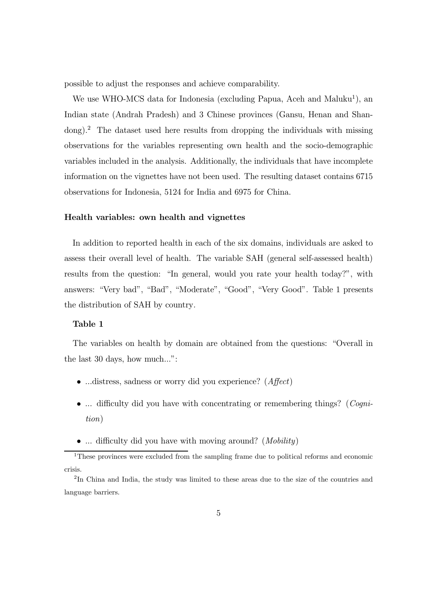possible to adjust the responses and achieve comparability.

We use WHO-MCS data for Indonesia (excluding Papua, Aceh and Maluku<sup>1</sup>), an Indian state (Andrah Pradesh) and 3 Chinese provinces (Gansu, Henan and Shandong).<sup>2</sup> The dataset used here results from dropping the individuals with missing observations for the variables representing own health and the socio-demographic variables included in the analysis. Additionally, the individuals that have incomplete information on the vignettes have not been used. The resulting dataset contains 6715 observations for Indonesia, 5124 for India and 6975 for China.

#### Health variables: own health and vignettes

In addition to reported health in each of the six domains, individuals are asked to assess their overall level of health. The variable SAH (general self-assessed health) results from the question: "In general, would you rate your health today?", with answers: "Very bad", "Bad", "Moderate", "Good", "Very Good". Table 1 presents the distribution of SAH by country.

#### Table 1

The variables on health by domain are obtained from the questions: "Overall in the last 30 days, how much...":

- ...distress, sadness or worry did you experience? (*Affect*)
- ... difficulty did you have with concentrating or remembering things? (*Cogni*tion)
- ... difficulty did you have with moving around? (*Mobility*)

<sup>&</sup>lt;sup>1</sup>These provinces were excluded from the sampling frame due to political reforms and economic crisis.

<sup>2</sup>In China and India, the study was limited to these areas due to the size of the countries and language barriers.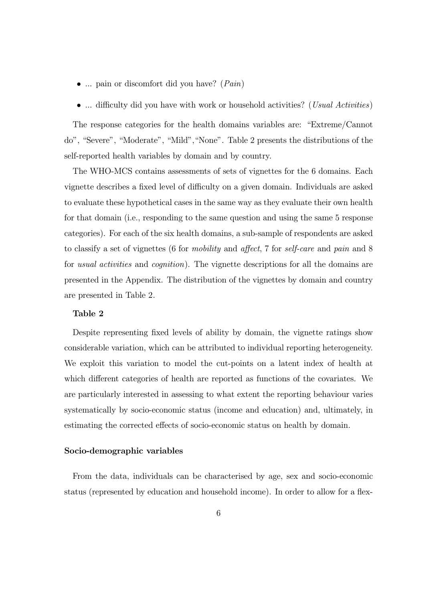- ... pain or discomfort did you have? (*Pain*)
- ... difficulty did you have with work or household activities? (*Usual Activities*)

The response categories for the health domains variables are: "Extreme/Cannot do", "Severe", "Moderate", "Mild","None". Table 2 presents the distributions of the self-reported health variables by domain and by country.

The WHO-MCS contains assessments of sets of vignettes for the 6 domains. Each vignette describes a fixed level of difficulty on a given domain. Individuals are asked to evaluate these hypothetical cases in the same way as they evaluate their own health for that domain (i.e., responding to the same question and using the same 5 response categories). For each of the six health domains, a sub-sample of respondents are asked to classify a set of vignettes (6 for mobility and affect, 7 for self-care and pain and 8 for usual activities and cognition). The vignette descriptions for all the domains are presented in the Appendix. The distribution of the vignettes by domain and country are presented in Table 2.

#### Table 2

Despite representing fixed levels of ability by domain, the vignette ratings show considerable variation, which can be attributed to individual reporting heterogeneity. We exploit this variation to model the cut-points on a latent index of health at which different categories of health are reported as functions of the covariates. We are particularly interested in assessing to what extent the reporting behaviour varies systematically by socio-economic status (income and education) and, ultimately, in estimating the corrected effects of socio-economic status on health by domain.

#### Socio-demographic variables

From the data, individuals can be characterised by age, sex and socio-economic status (represented by education and household income). In order to allow for a flex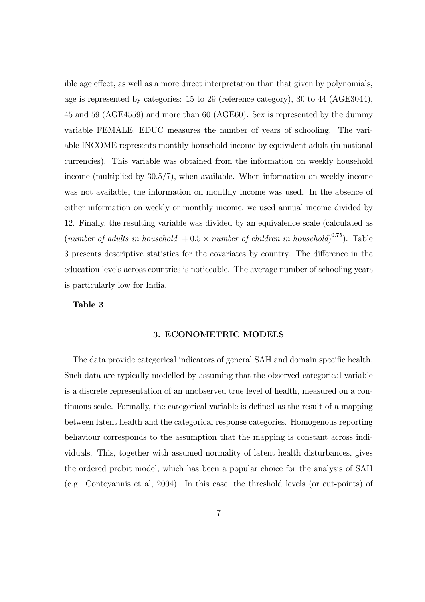ible age effect, as well as a more direct interpretation than that given by polynomials, age is represented by categories: 15 to 29 (reference category), 30 to 44 (AGE3044), 45 and 59 (AGE4559) and more than 60 (AGE60). Sex is represented by the dummy variable FEMALE. EDUC measures the number of years of schooling. The variable INCOME represents monthly household income by equivalent adult (in national currencies). This variable was obtained from the information on weekly household income (multiplied by 30.5/7), when available. When information on weekly income was not available, the information on monthly income was used. In the absence of either information on weekly or monthly income, we used annual income divided by 12. Finally, the resulting variable was divided by an equivalence scale (calculated as (number of adults in household  $+0.5 \times$  number of children in household)<sup>0.75</sup>). Table 3 presents descriptive statistics for the covariates by country. The difference in the education levels across countries is noticeable. The average number of schooling years is particularly low for India.

#### Table 3

#### 3. ECONOMETRIC MODELS

The data provide categorical indicators of general SAH and domain specific health. Such data are typically modelled by assuming that the observed categorical variable is a discrete representation of an unobserved true level of health, measured on a continuous scale. Formally, the categorical variable is defined as the result of a mapping between latent health and the categorical response categories. Homogenous reporting behaviour corresponds to the assumption that the mapping is constant across individuals. This, together with assumed normality of latent health disturbances, gives the ordered probit model, which has been a popular choice for the analysis of SAH (e.g. Contoyannis et al, 2004). In this case, the threshold levels (or cut-points) of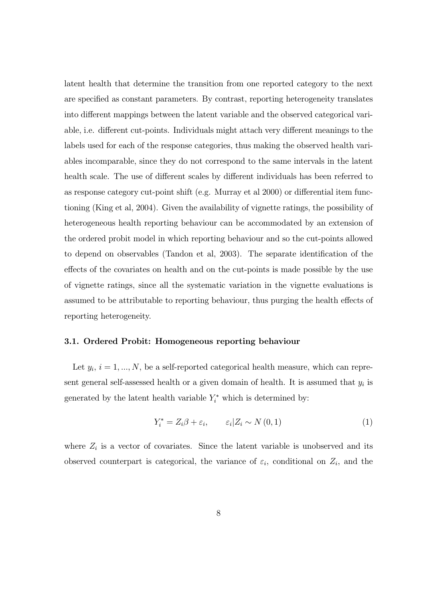latent health that determine the transition from one reported category to the next are specified as constant parameters. By contrast, reporting heterogeneity translates into different mappings between the latent variable and the observed categorical variable, i.e. different cut-points. Individuals might attach very different meanings to the labels used for each of the response categories, thus making the observed health variables incomparable, since they do not correspond to the same intervals in the latent health scale. The use of different scales by different individuals has been referred to as response category cut-point shift (e.g. Murray et al 2000) or differential item functioning (King et al, 2004). Given the availability of vignette ratings, the possibility of heterogeneous health reporting behaviour can be accommodated by an extension of the ordered probit model in which reporting behaviour and so the cut-points allowed to depend on observables (Tandon et al, 2003). The separate identification of the effects of the covariates on health and on the cut-points is made possible by the use of vignette ratings, since all the systematic variation in the vignette evaluations is assumed to be attributable to reporting behaviour, thus purging the health effects of reporting heterogeneity.

#### 3.1. Ordered Probit: Homogeneous reporting behaviour

Let  $y_i$ ,  $i = 1, ..., N$ , be a self-reported categorical health measure, which can represent general self-assessed health or a given domain of health. It is assumed that  $y_i$  is generated by the latent health variable  $Y_i^*$  which is determined by:

$$
Y_i^* = Z_i \beta + \varepsilon_i, \qquad \varepsilon_i | Z_i \sim N(0, 1)
$$
 (1)

where  $Z_i$  is a vector of covariates. Since the latent variable is unobserved and its observed counterpart is categorical, the variance of  $\varepsilon_i$ , conditional on  $Z_i$ , and the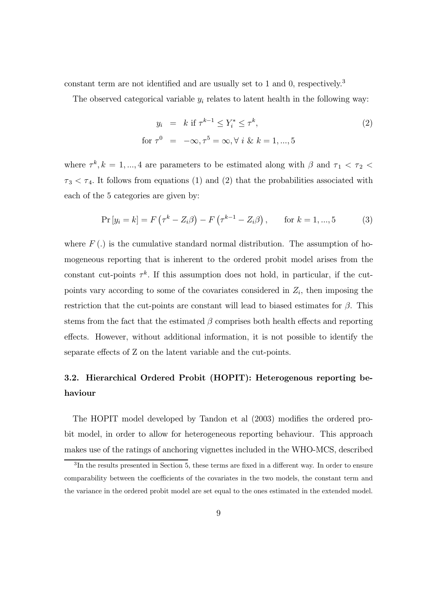constant term are not identified and are usually set to 1 and 0, respectively.<sup>3</sup>

The observed categorical variable  $y_i$  relates to latent health in the following way:

$$
y_i = k \text{ if } \tau^{k-1} \le Y_i^* \le \tau^k,
$$
  
for  $\tau^0 = -\infty, \tau^5 = \infty, \forall i \& k = 1, ..., 5$  (2)

where  $\tau^k, k = 1, ..., 4$  are parameters to be estimated along with  $\beta$  and  $\tau_1 < \tau_2$  $\tau_3 < \tau_4$ . It follows from equations (1) and (2) that the probabilities associated with each of the 5 categories are given by:

$$
Pr [y_i = k] = F (\tau^k - Z_i \beta) - F (\tau^{k-1} - Z_i \beta), \quad \text{for } k = 1, ..., 5
$$
 (3)

where  $F(.)$  is the cumulative standard normal distribution. The assumption of homogeneous reporting that is inherent to the ordered probit model arises from the constant cut-points  $\tau^k$ . If this assumption does not hold, in particular, if the cutpoints vary according to some of the covariates considered in  $Z_i$ , then imposing the restriction that the cut-points are constant will lead to biased estimates for  $\beta$ . This stems from the fact that the estimated  $\beta$  comprises both health effects and reporting effects. However, without additional information, it is not possible to identify the separate effects of Z on the latent variable and the cut-points.

## 3.2. Hierarchical Ordered Probit (HOPIT): Heterogenous reporting behaviour

The HOPIT model developed by Tandon et al (2003) modifies the ordered probit model, in order to allow for heterogeneous reporting behaviour. This approach makes use of the ratings of anchoring vignettes included in the WHO-MCS, described

<sup>&</sup>lt;sup>3</sup>In the results presented in Section 5, these terms are fixed in a different way. In order to ensure comparability between the coefficients of the covariates in the two models, the constant term and the variance in the ordered probit model are set equal to the ones estimated in the extended model.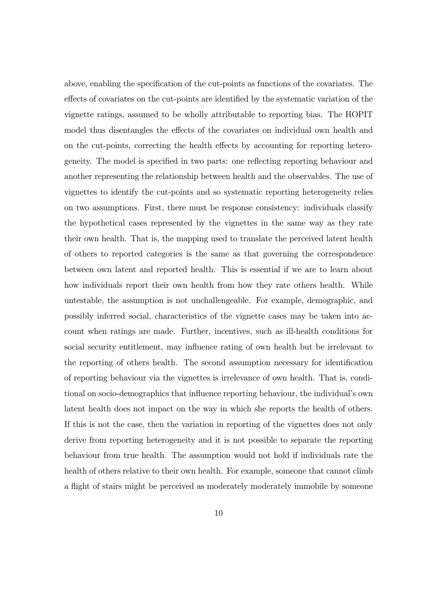above, enabling the specification of the cut-points as functions of the covariates. The effects of covariates on the cut-points are identified by the systematic variation of the vignette ratings, assumed to be wholly attributable to reporting bias. The HOPIT model thus disentangles the effects of the covariates on individual own health and on the cut-points, correcting the health effects by accounting for reporting heterogeneity. The model is specified in two parts: one reflecting reporting behaviour and another representing the relationship between health and the observables. The use of vignettes to identify the cut-points and so systematic reporting heterogeneity relies on two assumptions. First, there must be response consistency: individuals classify the hypothetical cases represented by the vignettes in the same way as they rate their own health. That is, the mapping used to translate the perceived latent health of others to reported categories is the same as that governing the correspondence between own latent and reported health. This is essential if we are to learn about how individuals report their own health from how they rate others health. While untestable, the assumption is not unchallengeable. For example, demographic, and possibly inferred social, characteristics of the vignette cases may be taken into account when ratings are made. Further, incentives, such as ill-health conditions for social security entitlement, may influence rating of own health but be irrelevant to the reporting of others health. The second assumption necessary for identification of reporting behaviour via the vignettes is irrelevance of own health. That is, conditional on socio-demographics that influence reporting behaviour, the individual's own latent health does not impact on the way in which she reports the health of others. If this is not the case, then the variation in reporting of the vignettes does not only derive from reporting heterogeneity and it is not possible to separate the reporting behaviour from true health. The assumption would not hold if individuals rate the health of others relative to their own health. For example, someone that cannot climb a flight of stairs might be perceived as moderately moderately immobile by someone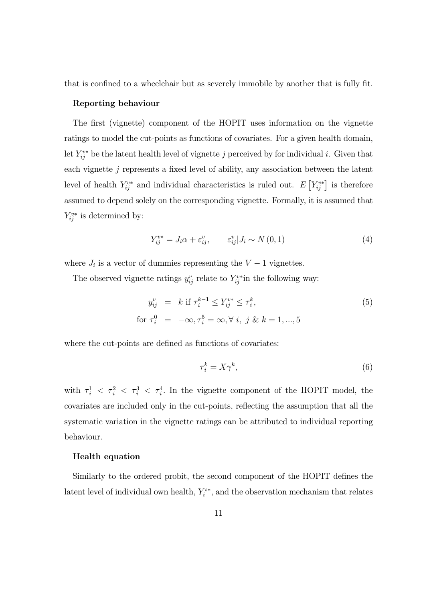that is confined to a wheelchair but as severely immobile by another that is fully fit.

#### Reporting behaviour

The first (vignette) component of the HOPIT uses information on the vignette ratings to model the cut-points as functions of covariates. For a given health domain, let  $Y_{ij}^{v*}$  be the latent health level of vignette j perceived by for individual i. Given that each vignette  $j$  represents a fixed level of ability, any association between the latent level of health  $Y_{ij}^{v*}$  and individual characteristics is ruled out.  $E[Y_{ij}^{v*}]$  is therefore assumed to depend solely on the corresponding vignette. Formally, it is assumed that  $Y_{ij}^{v*}$  is determined by:

$$
Y_{ij}^{v*} = J_i \alpha + \varepsilon_{ij}^v, \qquad \varepsilon_{ij}^v | J_i \sim N(0, 1)
$$
 (4)

where  $J_i$  is a vector of dummies representing the  $V - 1$  vignettes.

The observed vignette ratings  $y_{ij}^v$  relate to  $Y_{ij}^{v*}$  in the following way:

$$
y_{ij}^v = k \text{ if } \tau_i^{k-1} \le Y_{ij}^{v*} \le \tau_i^k,
$$
  
for  $\tau_i^0 = -\infty, \tau_i^5 = \infty, \forall i, j \& k = 1, ..., 5$  (5)

where the cut-points are defined as functions of covariates:

$$
\tau_i^k = X\gamma^k,\tag{6}
$$

with  $\tau_i^1 \leq \tau_i^2 \leq \tau_i^3 \leq \tau_i^4$ . In the vignette component of the HOPIT model, the covariates are included only in the cut-points, reflecting the assumption that all the systematic variation in the vignette ratings can be attributed to individual reporting behaviour.

#### Health equation

Similarly to the ordered probit, the second component of the HOPIT defines the latent level of individual own health,  $Y_i^{s*}$ , and the observation mechanism that relates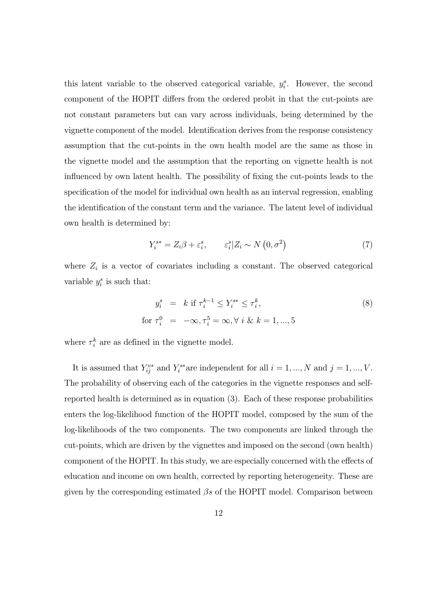this latent variable to the observed categorical variable,  $y_i^s$ . However, the second component of the HOPIT differs from the ordered probit in that the cut-points are not constant parameters but can vary across individuals, being determined by the vignette component of the model. Identification derives from the response consistency assumption that the cut-points in the own health model are the same as those in the vignette model and the assumption that the reporting on vignette health is not influenced by own latent health. The possibility of fixing the cut-points leads to the specification of the model for individual own health as an interval regression, enabling the identification of the constant term and the variance. The latent level of individual own health is determined by:

$$
Y_i^{s*} = Z_i \beta + \varepsilon_i^s, \qquad \varepsilon_i^s | Z_i \sim N(0, \sigma^2)
$$
 (7)

where  $Z_i$  is a vector of covariates including a constant. The observed categorical variable  $y_i^s$  is such that:

$$
y_i^s = k \text{ if } \tau_i^{k-1} \le Y_i^{s*} \le \tau_i^k,
$$
  
for  $\tau_i^0 = -\infty, \tau_i^5 = \infty, \forall i \& k = 1, ..., 5$  (8)

where  $\tau_i^k$  are as defined in the vignette model.

It is assumed that  $Y_{ij}^{v*}$  and  $Y_i^{s*}$  are independent for all  $i = 1, ..., N$  and  $j = 1, ..., V$ . The probability of observing each of the categories in the vignette responses and selfreported health is determined as in equation (3). Each of these response probabilities enters the log-likelihood function of the HOPIT model, composed by the sum of the log-likelihoods of the two components. The two components are linked through the cut-points, which are driven by the vignettes and imposed on the second (own health) component of the HOPIT. In this study, we are especially concerned with the effects of education and income on own health, corrected by reporting heterogeneity. These are given by the corresponding estimated  $\beta s$  of the HOPIT model. Comparison between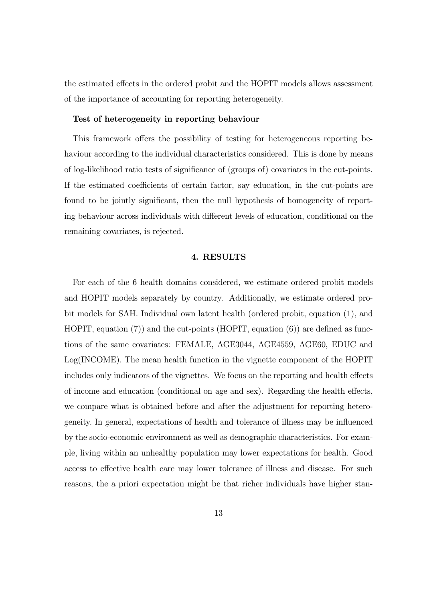the estimated effects in the ordered probit and the HOPIT models allows assessment of the importance of accounting for reporting heterogeneity.

#### Test of heterogeneity in reporting behaviour

This framework offers the possibility of testing for heterogeneous reporting behaviour according to the individual characteristics considered. This is done by means of log-likelihood ratio tests of significance of (groups of) covariates in the cut-points. If the estimated coefficients of certain factor, say education, in the cut-points are found to be jointly significant, then the null hypothesis of homogeneity of reporting behaviour across individuals with different levels of education, conditional on the remaining covariates, is rejected.

#### 4. RESULTS

For each of the 6 health domains considered, we estimate ordered probit models and HOPIT models separately by country. Additionally, we estimate ordered probit models for SAH. Individual own latent health (ordered probit, equation (1), and HOPIT, equation  $(7)$  and the cut-points (HOPIT, equation  $(6)$ ) are defined as functions of the same covariates: FEMALE, AGE3044, AGE4559, AGE60, EDUC and Log(INCOME). The mean health function in the vignette component of the HOPIT includes only indicators of the vignettes. We focus on the reporting and health effects of income and education (conditional on age and sex). Regarding the health effects, we compare what is obtained before and after the adjustment for reporting heterogeneity. In general, expectations of health and tolerance of illness may be influenced by the socio-economic environment as well as demographic characteristics. For example, living within an unhealthy population may lower expectations for health. Good access to effective health care may lower tolerance of illness and disease. For such reasons, the a priori expectation might be that richer individuals have higher stan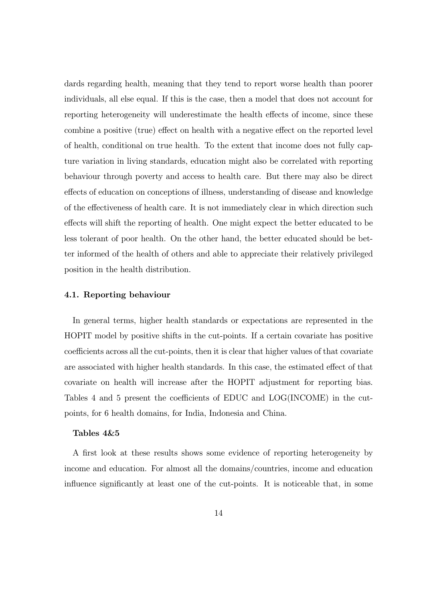dards regarding health, meaning that they tend to report worse health than poorer individuals, all else equal. If this is the case, then a model that does not account for reporting heterogeneity will underestimate the health effects of income, since these combine a positive (true) effect on health with a negative effect on the reported level of health, conditional on true health. To the extent that income does not fully capture variation in living standards, education might also be correlated with reporting behaviour through poverty and access to health care. But there may also be direct effects of education on conceptions of illness, understanding of disease and knowledge of the effectiveness of health care. It is not immediately clear in which direction such effects will shift the reporting of health. One might expect the better educated to be less tolerant of poor health. On the other hand, the better educated should be better informed of the health of others and able to appreciate their relatively privileged position in the health distribution.

#### 4.1. Reporting behaviour

In general terms, higher health standards or expectations are represented in the HOPIT model by positive shifts in the cut-points. If a certain covariate has positive coefficients across all the cut-points, then it is clear that higher values of that covariate are associated with higher health standards. In this case, the estimated effect of that covariate on health will increase after the HOPIT adjustment for reporting bias. Tables 4 and 5 present the coefficients of EDUC and LOG(INCOME) in the cutpoints, for 6 health domains, for India, Indonesia and China.

#### Tables 4&5

A first look at these results shows some evidence of reporting heterogeneity by income and education. For almost all the domains/countries, income and education influence significantly at least one of the cut-points. It is noticeable that, in some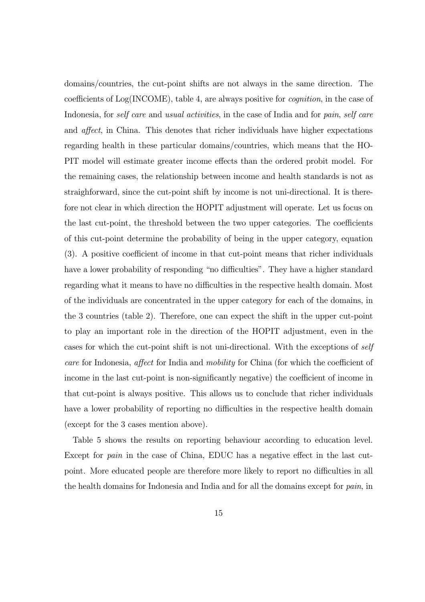domains/countries, the cut-point shifts are not always in the same direction. The coefficients of Log(INCOME), table 4, are always positive for cognition, in the case of Indonesia, for self care and usual activities, in the case of India and for pain, self care and affect, in China. This denotes that richer individuals have higher expectations regarding health in these particular domains/countries, which means that the HO-PIT model will estimate greater income effects than the ordered probit model. For the remaining cases, the relationship between income and health standards is not as straighforward, since the cut-point shift by income is not uni-directional. It is therefore not clear in which direction the HOPIT adjustment will operate. Let us focus on the last cut-point, the threshold between the two upper categories. The coefficients of this cut-point determine the probability of being in the upper category, equation (3). A positive coefficient of income in that cut-point means that richer individuals have a lower probability of responding "no difficulties". They have a higher standard regarding what it means to have no difficulties in the respective health domain. Most of the individuals are concentrated in the upper category for each of the domains, in the 3 countries (table 2). Therefore, one can expect the shift in the upper cut-point to play an important role in the direction of the HOPIT adjustment, even in the cases for which the cut-point shift is not uni-directional. With the exceptions of self care for Indonesia, affect for India and mobility for China (for which the coefficient of income in the last cut-point is non-significantly negative) the coefficient of income in that cut-point is always positive. This allows us to conclude that richer individuals have a lower probability of reporting no difficulties in the respective health domain (except for the 3 cases mention above).

Table 5 shows the results on reporting behaviour according to education level. Except for pain in the case of China, EDUC has a negative effect in the last cutpoint. More educated people are therefore more likely to report no difficulties in all the health domains for Indonesia and India and for all the domains except for pain, in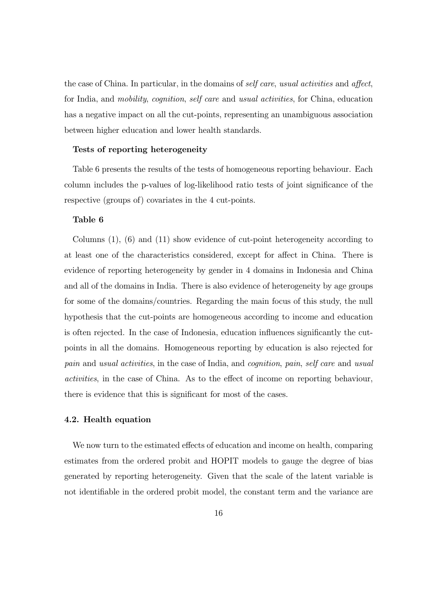the case of China. In particular, in the domains of self care, usual activities and affect, for India, and mobility, cognition, self care and usual activities, for China, education has a negative impact on all the cut-points, representing an unambiguous association between higher education and lower health standards.

#### Tests of reporting heterogeneity

Table 6 presents the results of the tests of homogeneous reporting behaviour. Each column includes the p-values of log-likelihood ratio tests of joint significance of the respective (groups of) covariates in the 4 cut-points.

#### Table 6

Columns (1), (6) and (11) show evidence of cut-point heterogeneity according to at least one of the characteristics considered, except for affect in China. There is evidence of reporting heterogeneity by gender in 4 domains in Indonesia and China and all of the domains in India. There is also evidence of heterogeneity by age groups for some of the domains/countries. Regarding the main focus of this study, the null hypothesis that the cut-points are homogeneous according to income and education is often rejected. In the case of Indonesia, education influences significantly the cutpoints in all the domains. Homogeneous reporting by education is also rejected for pain and usual activities, in the case of India, and cognition, pain, self care and usual activities, in the case of China. As to the effect of income on reporting behaviour, there is evidence that this is significant for most of the cases.

### 4.2. Health equation

We now turn to the estimated effects of education and income on health, comparing estimates from the ordered probit and HOPIT models to gauge the degree of bias generated by reporting heterogeneity. Given that the scale of the latent variable is not identifiable in the ordered probit model, the constant term and the variance are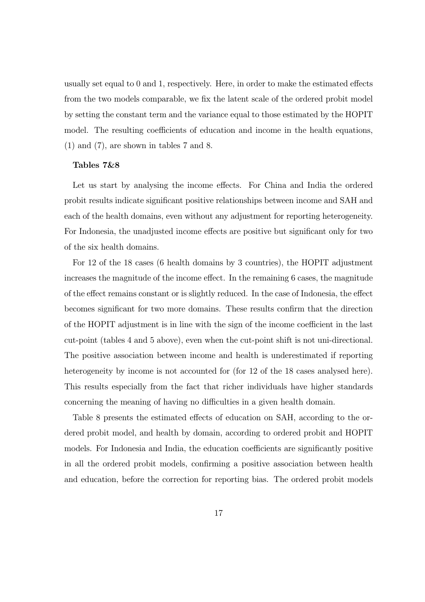usually set equal to 0 and 1, respectively. Here, in order to make the estimated effects from the two models comparable, we fix the latent scale of the ordered probit model by setting the constant term and the variance equal to those estimated by the HOPIT model. The resulting coefficients of education and income in the health equations, (1) and (7), are shown in tables 7 and 8.

#### Tables 7&8

Let us start by analysing the income effects. For China and India the ordered probit results indicate significant positive relationships between income and SAH and each of the health domains, even without any adjustment for reporting heterogeneity. For Indonesia, the unadjusted income effects are positive but significant only for two of the six health domains.

For 12 of the 18 cases (6 health domains by 3 countries), the HOPIT adjustment increases the magnitude of the income effect. In the remaining 6 cases, the magnitude of the effect remains constant or is slightly reduced. In the case of Indonesia, the effect becomes significant for two more domains. These results confirm that the direction of the HOPIT adjustment is in line with the sign of the income coefficient in the last cut-point (tables 4 and 5 above), even when the cut-point shift is not uni-directional. The positive association between income and health is underestimated if reporting heterogeneity by income is not accounted for (for 12 of the 18 cases analysed here). This results especially from the fact that richer individuals have higher standards concerning the meaning of having no difficulties in a given health domain.

Table 8 presents the estimated effects of education on SAH, according to the ordered probit model, and health by domain, according to ordered probit and HOPIT models. For Indonesia and India, the education coefficients are significantly positive in all the ordered probit models, confirming a positive association between health and education, before the correction for reporting bias. The ordered probit models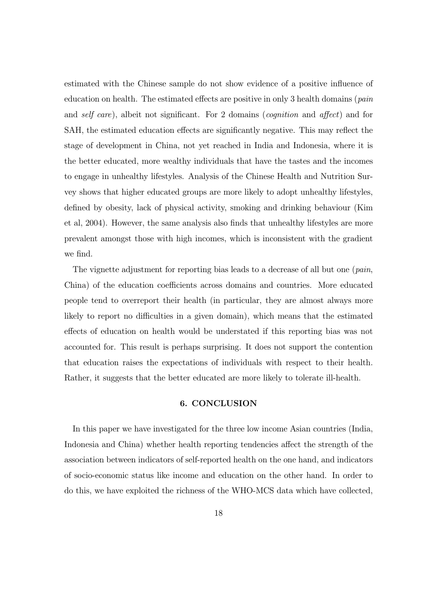estimated with the Chinese sample do not show evidence of a positive influence of education on health. The estimated effects are positive in only 3 health domains (pain and self care), albeit not significant. For 2 domains (cognition and affect) and for SAH, the estimated education effects are significantly negative. This may reflect the stage of development in China, not yet reached in India and Indonesia, where it is the better educated, more wealthy individuals that have the tastes and the incomes to engage in unhealthy lifestyles. Analysis of the Chinese Health and Nutrition Survey shows that higher educated groups are more likely to adopt unhealthy lifestyles, defined by obesity, lack of physical activity, smoking and drinking behaviour (Kim et al, 2004). However, the same analysis also finds that unhealthy lifestyles are more prevalent amongst those with high incomes, which is inconsistent with the gradient we find.

The vignette adjustment for reporting bias leads to a decrease of all but one (pain, China) of the education coefficients across domains and countries. More educated people tend to overreport their health (in particular, they are almost always more likely to report no difficulties in a given domain), which means that the estimated effects of education on health would be understated if this reporting bias was not accounted for. This result is perhaps surprising. It does not support the contention that education raises the expectations of individuals with respect to their health. Rather, it suggests that the better educated are more likely to tolerate ill-health.

#### 6. CONCLUSION

In this paper we have investigated for the three low income Asian countries (India, Indonesia and China) whether health reporting tendencies affect the strength of the association between indicators of self-reported health on the one hand, and indicators of socio-economic status like income and education on the other hand. In order to do this, we have exploited the richness of the WHO-MCS data which have collected,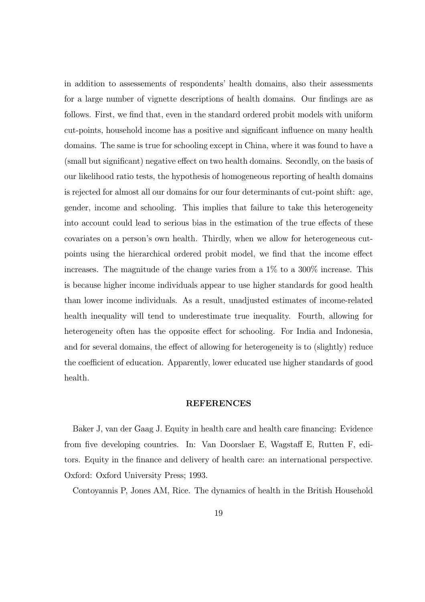in addition to assessements of respondents' health domains, also their assessments for a large number of vignette descriptions of health domains. Our findings are as follows. First, we find that, even in the standard ordered probit models with uniform cut-points, household income has a positive and significant influence on many health domains. The same is true for schooling except in China, where it was found to have a (small but significant) negative effect on two health domains. Secondly, on the basis of our likelihood ratio tests, the hypothesis of homogeneous reporting of health domains is rejected for almost all our domains for our four determinants of cut-point shift: age, gender, income and schooling. This implies that failure to take this heterogeneity into account could lead to serious bias in the estimation of the true effects of these covariates on a person's own health. Thirdly, when we allow for heterogeneous cutpoints using the hierarchical ordered probit model, we find that the income effect increases. The magnitude of the change varies from a 1% to a 300% increase. This is because higher income individuals appear to use higher standards for good health than lower income individuals. As a result, unadjusted estimates of income-related health inequality will tend to underestimate true inequality. Fourth, allowing for heterogeneity often has the opposite effect for schooling. For India and Indonesia, and for several domains, the effect of allowing for heterogeneity is to (slightly) reduce the coefficient of education. Apparently, lower educated use higher standards of good health.

#### REFERENCES

Baker J, van der Gaag J. Equity in health care and health care financing: Evidence from five developing countries. In: Van Doorslaer E, Wagstaff E, Rutten F, editors. Equity in the finance and delivery of health care: an international perspective. Oxford: Oxford University Press; 1993.

Contoyannis P, Jones AM, Rice. The dynamics of health in the British Household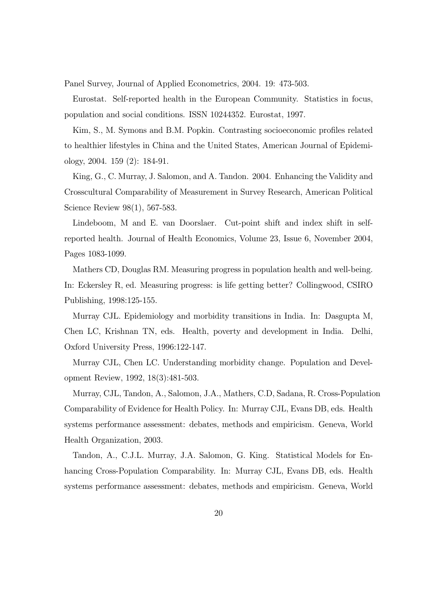Panel Survey, Journal of Applied Econometrics, 2004. 19: 473-503.

Eurostat. Self-reported health in the European Community. Statistics in focus, population and social conditions. ISSN 10244352. Eurostat, 1997.

Kim, S., M. Symons and B.M. Popkin. Contrasting socioeconomic profiles related to healthier lifestyles in China and the United States, American Journal of Epidemiology, 2004. 159 (2): 184-91.

King, G., C. Murray, J. Salomon, and A. Tandon. 2004. Enhancing the Validity and Crosscultural Comparability of Measurement in Survey Research, American Political Science Review 98(1), 567-583.

Lindeboom, M and E. van Doorslaer. Cut-point shift and index shift in selfreported health. Journal of Health Economics, Volume 23, Issue 6, November 2004, Pages 1083-1099.

Mathers CD, Douglas RM. Measuring progress in population health and well-being. In: Eckersley R, ed. Measuring progress: is life getting better? Collingwood, CSIRO Publishing, 1998:125-155.

Murray CJL. Epidemiology and morbidity transitions in India. In: Dasgupta M, Chen LC, Krishnan TN, eds. Health, poverty and development in India. Delhi, Oxford University Press, 1996:122-147.

Murray CJL, Chen LC. Understanding morbidity change. Population and Development Review, 1992, 18(3):481-503.

Murray, CJL, Tandon, A., Salomon, J.A., Mathers, C.D, Sadana, R. Cross-Population Comparability of Evidence for Health Policy. In: Murray CJL, Evans DB, eds. Health systems performance assessment: debates, methods and empiricism. Geneva, World Health Organization, 2003.

Tandon, A., C.J.L. Murray, J.A. Salomon, G. King. Statistical Models for Enhancing Cross-Population Comparability. In: Murray CJL, Evans DB, eds. Health systems performance assessment: debates, methods and empiricism. Geneva, World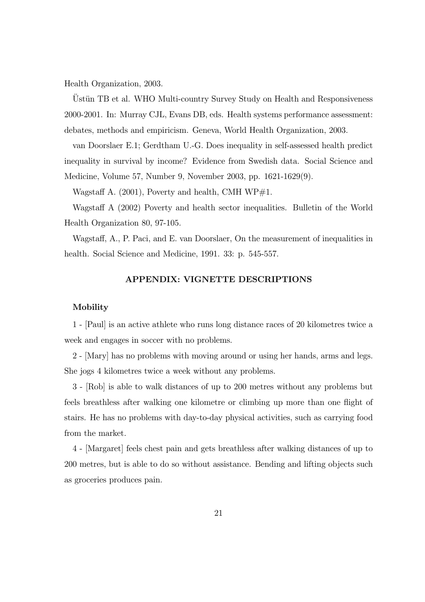Health Organization, 2003.

Ustün TB et al. WHO Multi-country Survey Study on Health and Responsiveness 2000-2001. In: Murray CJL, Evans DB, eds. Health systems performance assessment: debates, methods and empiricism. Geneva, World Health Organization, 2003.

van Doorslaer E.1; Gerdtham U.-G. Does inequality in self-assessed health predict inequality in survival by income? Evidence from Swedish data. Social Science and Medicine, Volume 57, Number 9, November 2003, pp. 1621-1629(9).

Wagstaff A.  $(2001)$ , Poverty and health, CMH WP#1.

Wagstaff A (2002) Poverty and health sector inequalities. Bulletin of the World Health Organization 80, 97-105.

Wagstaff, A., P. Paci, and E. van Doorslaer, On the measurement of inequalities in health. Social Science and Medicine, 1991. 33: p. 545-557.

## APPENDIX: VIGNETTE DESCRIPTIONS

#### Mobility

1 - [Paul] is an active athlete who runs long distance races of 20 kilometres twice a week and engages in soccer with no problems.

2 - [Mary] has no problems with moving around or using her hands, arms and legs. She jogs 4 kilometres twice a week without any problems.

3 - [Rob] is able to walk distances of up to 200 metres without any problems but feels breathless after walking one kilometre or climbing up more than one flight of stairs. He has no problems with day-to-day physical activities, such as carrying food from the market.

4 - [Margaret] feels chest pain and gets breathless after walking distances of up to 200 metres, but is able to do so without assistance. Bending and lifting objects such as groceries produces pain.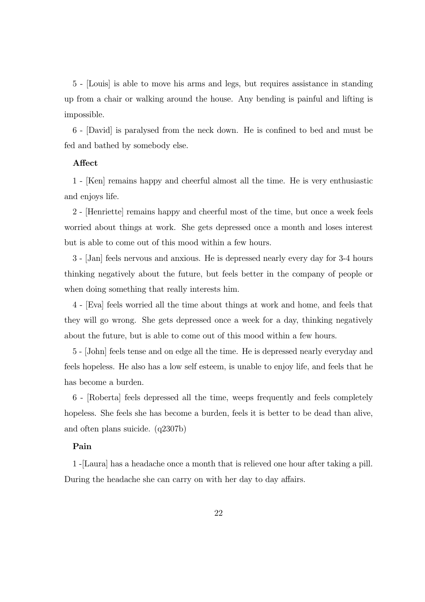5 - [Louis] is able to move his arms and legs, but requires assistance in standing up from a chair or walking around the house. Any bending is painful and lifting is impossible.

6 - [David] is paralysed from the neck down. He is confined to bed and must be fed and bathed by somebody else.

#### Affect

1 - [Ken] remains happy and cheerful almost all the time. He is very enthusiastic and enjoys life.

2 - [Henriette] remains happy and cheerful most of the time, but once a week feels worried about things at work. She gets depressed once a month and loses interest but is able to come out of this mood within a few hours.

3 - [Jan] feels nervous and anxious. He is depressed nearly every day for 3-4 hours thinking negatively about the future, but feels better in the company of people or when doing something that really interests him.

4 - [Eva] feels worried all the time about things at work and home, and feels that they will go wrong. She gets depressed once a week for a day, thinking negatively about the future, but is able to come out of this mood within a few hours.

5 - [John] feels tense and on edge all the time. He is depressed nearly everyday and feels hopeless. He also has a low self esteem, is unable to enjoy life, and feels that he has become a burden.

6 - [Roberta] feels depressed all the time, weeps frequently and feels completely hopeless. She feels she has become a burden, feels it is better to be dead than alive, and often plans suicide. (q2307b)

### Pain

1 -[Laura] has a headache once a month that is relieved one hour after taking a pill. During the headache she can carry on with her day to day affairs.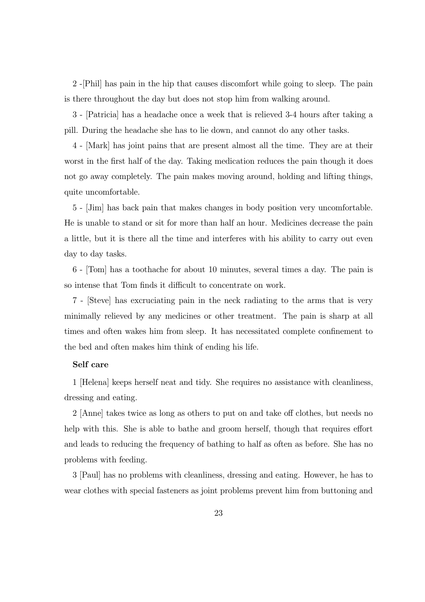2 -[Phil] has pain in the hip that causes discomfort while going to sleep. The pain is there throughout the day but does not stop him from walking around.

3 - [Patricia] has a headache once a week that is relieved 3-4 hours after taking a pill. During the headache she has to lie down, and cannot do any other tasks.

4 - [Mark] has joint pains that are present almost all the time. They are at their worst in the first half of the day. Taking medication reduces the pain though it does not go away completely. The pain makes moving around, holding and lifting things, quite uncomfortable.

5 - [Jim] has back pain that makes changes in body position very uncomfortable. He is unable to stand or sit for more than half an hour. Medicines decrease the pain a little, but it is there all the time and interferes with his ability to carry out even day to day tasks.

6 - [Tom] has a toothache for about 10 minutes, several times a day. The pain is so intense that Tom finds it difficult to concentrate on work.

7 - [Steve] has excruciating pain in the neck radiating to the arms that is very minimally relieved by any medicines or other treatment. The pain is sharp at all times and often wakes him from sleep. It has necessitated complete confinement to the bed and often makes him think of ending his life.

#### Self care

1 [Helena] keeps herself neat and tidy. She requires no assistance with cleanliness, dressing and eating.

2 [Anne] takes twice as long as others to put on and take off clothes, but needs no help with this. She is able to bathe and groom herself, though that requires effort and leads to reducing the frequency of bathing to half as often as before. She has no problems with feeding.

3 [Paul] has no problems with cleanliness, dressing and eating. However, he has to wear clothes with special fasteners as joint problems prevent him from buttoning and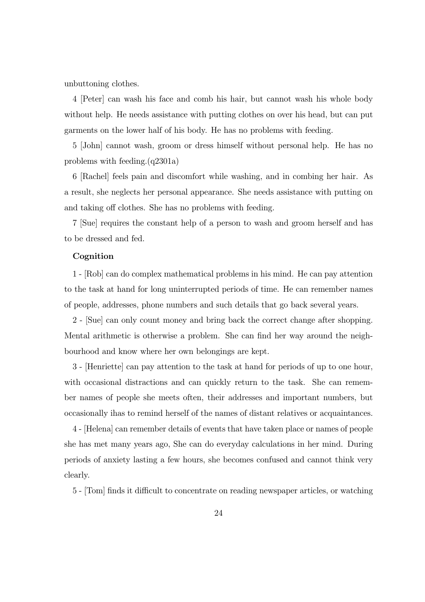unbuttoning clothes.

4 [Peter] can wash his face and comb his hair, but cannot wash his whole body without help. He needs assistance with putting clothes on over his head, but can put garments on the lower half of his body. He has no problems with feeding.

5 [John] cannot wash, groom or dress himself without personal help. He has no problems with feeding.(q2301a)

6 [Rachel] feels pain and discomfort while washing, and in combing her hair. As a result, she neglects her personal appearance. She needs assistance with putting on and taking off clothes. She has no problems with feeding.

7 [Sue] requires the constant help of a person to wash and groom herself and has to be dressed and fed.

#### Cognition

1 - [Rob] can do complex mathematical problems in his mind. He can pay attention to the task at hand for long uninterrupted periods of time. He can remember names of people, addresses, phone numbers and such details that go back several years.

2 - [Sue] can only count money and bring back the correct change after shopping. Mental arithmetic is otherwise a problem. She can find her way around the neighbourhood and know where her own belongings are kept.

3 - [Henriette] can pay attention to the task at hand for periods of up to one hour, with occasional distractions and can quickly return to the task. She can remember names of people she meets often, their addresses and important numbers, but occasionally ihas to remind herself of the names of distant relatives or acquaintances.

4 - [Helena] can remember details of events that have taken place or names of people she has met many years ago, She can do everyday calculations in her mind. During periods of anxiety lasting a few hours, she becomes confused and cannot think very clearly.

5 - [Tom] finds it difficult to concentrate on reading newspaper articles, or watching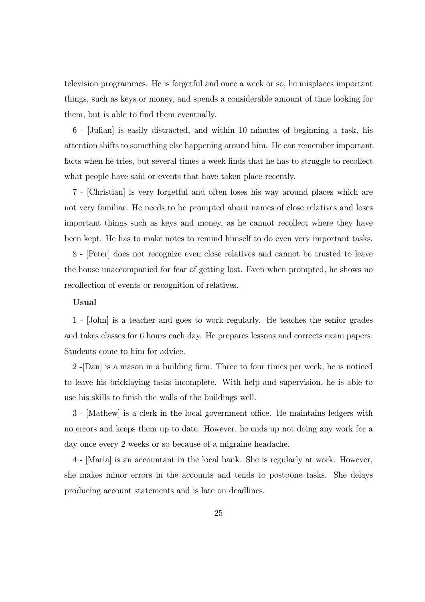television programmes. He is forgetful and once a week or so, he misplaces important things, such as keys or money, and spends a considerable amount of time looking for them, but is able to find them eventually.

6 - [Julian] is easily distracted, and within 10 minutes of beginning a task, his attention shifts to something else happening around him. He can remember important facts when he tries, but several times a week finds that he has to struggle to recollect what people have said or events that have taken place recently.

7 - [Christian] is very forgetful and often loses his way around places which are not very familiar. He needs to be prompted about names of close relatives and loses important things such as keys and money, as he cannot recollect where they have been kept. He has to make notes to remind himself to do even very important tasks.

8 - [Peter] does not recognize even close relatives and cannot be trusted to leave the house unaccompanied for fear of getting lost. Even when prompted, he shows no recollection of events or recognition of relatives.

#### Usual

1 - [John] is a teacher and goes to work regularly. He teaches the senior grades and takes classes for 6 hours each day. He prepares lessons and corrects exam papers. Students come to him for advice.

2 -[Dan] is a mason in a building firm. Three to four times per week, he is noticed to leave his bricklaying tasks incomplete. With help and supervision, he is able to use his skills to finish the walls of the buildings well.

3 - [Mathew] is a clerk in the local government office. He maintains ledgers with no errors and keeps them up to date. However, he ends up not doing any work for a day once every 2 weeks or so because of a migraine headache.

4 - [Maria] is an accountant in the local bank. She is regularly at work. However, she makes minor errors in the accounts and tends to postpone tasks. She delays producing account statements and is late on deadlines.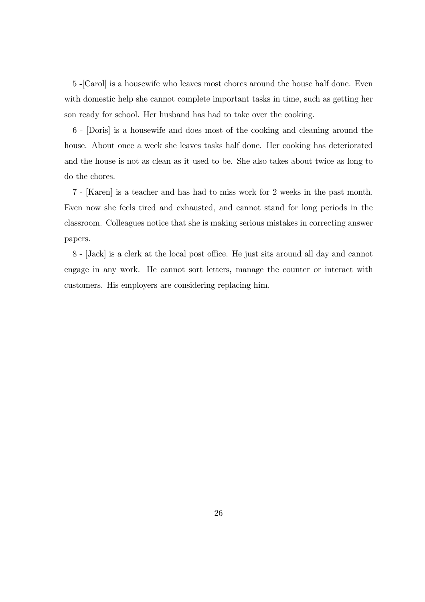5 -[Carol] is a housewife who leaves most chores around the house half done. Even with domestic help she cannot complete important tasks in time, such as getting her son ready for school. Her husband has had to take over the cooking.

6 - [Doris] is a housewife and does most of the cooking and cleaning around the house. About once a week she leaves tasks half done. Her cooking has deteriorated and the house is not as clean as it used to be. She also takes about twice as long to do the chores.

7 - [Karen] is a teacher and has had to miss work for 2 weeks in the past month. Even now she feels tired and exhausted, and cannot stand for long periods in the classroom. Colleagues notice that she is making serious mistakes in correcting answer papers.

8 - [Jack] is a clerk at the local post office. He just sits around all day and cannot engage in any work. He cannot sort letters, manage the counter or interact with customers. His employers are considering replacing him.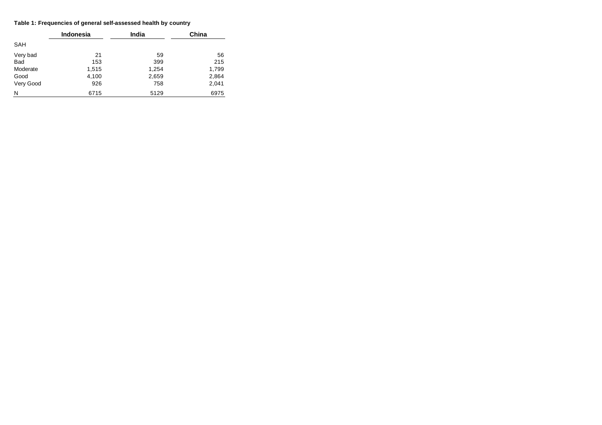#### **Table 1: Frequencies of general self-assessed health by country**

|           | <b>Indonesia</b> | <b>India</b> | China |
|-----------|------------------|--------------|-------|
| SAH       |                  |              |       |
| Very bad  | 21               | 59           | 56    |
| Bad       | 153              | 399          | 215   |
| Moderate  | 1,515            | 1,254        | 1,799 |
| Good      | 4,100            | 2,659        | 2,864 |
| Very Good | 926              | 758          | 2,041 |
| N         | 6715             | 5129         | 6975  |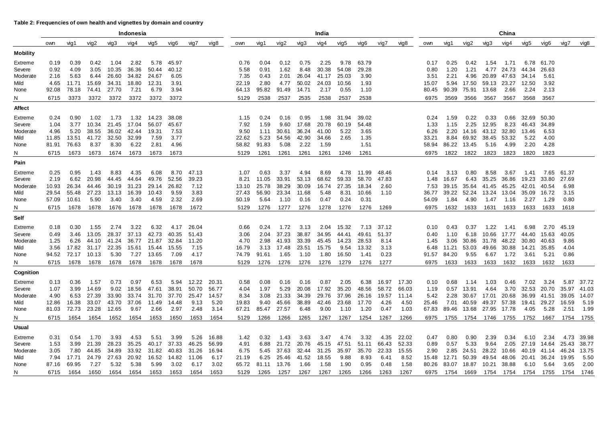#### **Table 2: Frequencies of own health and vignettes by domain and country**

|                   |               |               |                |                                 | Indonesia      |                |               |                |                | India          |              |                    |                | China          |               |               |                |                |               |                |                |                   |                     |                        |                   |               |                |
|-------------------|---------------|---------------|----------------|---------------------------------|----------------|----------------|---------------|----------------|----------------|----------------|--------------|--------------------|----------------|----------------|---------------|---------------|----------------|----------------|---------------|----------------|----------------|-------------------|---------------------|------------------------|-------------------|---------------|----------------|
|                   | own           | vig1          | vig2           | vig3                            | vig4           | vig5           | vig6          | vig7           | vig8           | own            | vig1         | vig2               | vig3           | vig4           | vig5          | vig6          | vig7           | vig8           | own           | vig1           | vig2           | vig3              | vig4                | vig5                   | vig6              | vig7          | vig8           |
| <b>Mobility</b>   |               |               |                |                                 |                |                |               |                |                |                |              |                    |                |                |               |               |                |                |               |                |                |                   |                     |                        |                   |               |                |
| Extreme           | 0.19          | 0.39          | 0.42           | 1.04                            | 2.82           | 5.78           | 45.97         |                |                | 0.76           | 0.04         | 0.12               | 0.75           | 2.25           | 9.78          | 63.79         |                |                | 0.17          | 0.25           | 0.42           | 1.54              | 1.71                | 6.78                   | 61.70             |               |                |
| Severe            | 0.92          | 4.09          | 3.05           | 10.35                           | 36.36          | 50.44          | 40.12         |                |                | 5.58           | 0.91         | 1.62               | 8.48           | 30.38          | 54.08         | 29.28         |                |                | 0.80          | 1.20           | 1.21           | 4.77              | 24.73               | 44.34                  | 26.63             |               |                |
| Moderate          | 2.16          | 5.63          | 6.44           | 26.60                           | 34.82          | 24.67          | 6.05          |                |                | 7.35           | 0.43         | 2.01               | 26.04          | 41.17          | 25.03         | 3.90          |                |                | 3.51          | 2.21           | 4.96           | 20.89             | 47.63               | 34.14                  | 5.61              |               |                |
| Mild              | 4.65          | 11.71         | 15.69          | 34.31                           | 18.80          | 12.31          | 3.91          |                |                | 22.19          | 2.80         | 4.77               | 50.02          | 24.03          | 10.56         | 1.93          |                |                | 15.07         | 5.94           | 17.50          | 59.13 23.27       |                     | 12.50                  | 3.92              |               |                |
| None              | 92.08         | 78.18         | 74.41          | 27.70                           | 7.21           | 6.79           | 3.94          |                |                | 64.13          | 95.82        | 91.49              | 14.71          | 2.17           | 0.55          | 1.10          |                |                | 80.45         | 90.39          | 75.91          | 13.68             | 2.66                | 2.24                   | 2.13              |               |                |
| N                 | 6715          | 3373          | 3372           | 3372                            | 3372           | 3372           | 3372          |                |                | 5129           | 2538         | 2537               | 2535           | 2538           | 2537          | 2538          |                |                | 6975          | 3569           | 3566           | 3567              | 3567                | 3568                   | 3567              |               |                |
| Affect            |               |               |                |                                 |                |                |               |                |                |                |              |                    |                |                |               |               |                |                |               |                |                |                   |                     |                        |                   |               |                |
| Extreme           | 0.24          | 0.90          | 1.02           | 1.73                            |                | 1.32 14.23     | 38.08         |                |                | 1.15           | 0.24         | 0.16               | 0.95           | 1.98           | 31.94         | 39.02         |                |                | 0.24          | 1.59           | 0.22           | 0.33              | 0.66                | 32.69                  | 50.30             |               |                |
| Severe            | 1.04          | 3.77          | 10.34          | 21.45                           | 17.04          | 56.07          | 45.67         |                |                | 7.92           | 1.59         | 9.60               | 17.68          | 20.78          | 60.19         | 54.48         |                |                | 1.33          | 1.15           |                | 2.25 12.95        | 8.23                | 46.43                  | 34.89             |               |                |
| Moderate<br>Mild  | 4.96<br>11.85 | 5.20<br>13.51 | 38.55<br>41.72 | 36.02<br>32.50                  | 42.44<br>32.99 | 19.31<br>7.59  | 7.53<br>3.77  |                |                | 9.50<br>22.62  | 1.11<br>5.23 | 30.61<br>54.56     | 36.24<br>42.90 | 41.00<br>34.66 | 5.22<br>2.65  | 3.65<br>1.35  |                |                | 6.26<br>33.21 | 2.20<br>8.84   | 14.16<br>69.92 | 43.12<br>38.45    | 32.80<br>53.32      | 13.46<br>5.22          | 6.53<br>4.00      |               |                |
| None              | 81.91         | 76.63         | 8.37           | 8.30                            | 6.22           | 2.81           | 4.96          |                |                | 58.82          | 91.83        | 5.08               | 2.22           | 1.59           |               | 1.51          |                |                | 58.94         |                | 86.22 13.45    | 5.16              | 4.99                | 2.20                   | 4.28              |               |                |
| N                 | 6715          | 1673          | 1673           | 1674                            | 1673           | 1673           | 1673          |                |                | 5129           | 1261         | 1261               | 1261           | 1261           | 1246          | 1261          |                |                | 6975          | 1822           | 1822           | 1823              | 1823                | 1820                   | 1823              |               |                |
| Pain              |               |               |                |                                 |                |                |               |                |                |                |              |                    |                |                |               |               |                |                |               |                |                |                   |                     |                        |                   |               |                |
| Extreme           | 0.25          | 0.95          | 1.43           | 8.83                            | 4.35           | 6.08           | 8.70          | 47.13          |                | 1.07           | 0.63         | 3.37               | 4.94           | 8.69           |               | 4.78 11.99    | 48.46          |                | 0.14          | 3.13           | 0.80           | 8.58              | 3.67                | 1.41                   |                   | 7.65 61.37    |                |
| Severe            | 2.19          | 6.62          | 20.98          | 44.45                           | 44.64          | 49.76          | 52.56         | 39.23          |                | 8.21           | 11.05        | 33.91              | 53.13          | 68.62          | 59.33         | 58.70         | 47.83          |                | 1.48          | 16.67          |                | 6.43 35.25        | 36.86               | 19.23 33.80            |                   | 27.69         |                |
| Moderate          | 10.93         | 26.34         | 44.46          | 30.19                           | 31.23          | 29.14          | 26.82         | 7.12           |                | 13.10          | 25.78        | 38.29              | 30.09          | 16.74          | 27.35         | 18.34         | 2.60           |                | 7.53          | 39.15          | 35.64          | 41.45             | 45.25               | 42.01                  | 40.54             | 6.98          |                |
| Mild              | 29.54         | 55.48         | 27.23          | 13.13                           | 16.39          | 10.43          | 9.59          | 3.83           |                | 27.43          | 56.90        | 23.34              | 11.68          | 5.48           | 8.31          | 10.66         | 1.10           |                | 36.77         | 39.22          |                | 52.24 13.24 13.04 |                     | 35.09                  | 16.72             | 3.15          |                |
| None              | 57.09         | 10.61         | 5.90           | 3.40                            | 3.40           | 4.59           | 2.32          | 2.69           |                | 50.19          | 5.64         | 1.10               | 0.16           | 0.47           | 0.24          | 0.31          |                |                | 54.09         | 1.84           | 4.90           | 1.47              | 1.16                | 2.27                   | 1.29              | 0.80          |                |
| N                 | 6715          | 1678          | 1678           | 1676                            | 1678           | 1678           | 1678          | 1672           |                | 5129           | 1276         | 1277               | 1276           | 1278           | 1276          | 1276          | 1269           |                | 6975          | 1632           | 1633           | 1631              | 1633                | 1633                   | 1633              | 1618          |                |
| Self              |               |               |                |                                 |                |                |               |                |                |                |              |                    |                |                |               |               |                |                |               |                |                |                   |                     |                        |                   |               |                |
| Extreme           | 0.18          | 0.30          | 1.55           | 2.74                            | 3.22           | 6.32           | 4.17          | 26.04          |                | 0.66           | 0.24         | 1.72               | 3.13           |                | 2.04 15.32    | 7.13          | 37.12          |                | 0.10          | 0.43           | 0.37           | 1.22              | 1.41                | 6.98                   | 2.70              | 45.19         |                |
| Severe            | 0.49          | 3.46          | 13.05          | 28.37                           | 37.13          | 42.73          | 40.35         | 51.43          |                | 3.06           | 2.04         | 37.23              | 38.87          | 34.95          | 44.41         | 49.61         | 51.37          |                | 0.40          | 1.10           | 6.18           | 10.66 17.77       |                     | 44.40                  | 15.63             | 40.05         |                |
| Moderate          | 1.25          | 6.26          | 44.10          | 41.24                           | 36.77          | 21.87          | 32.84         | 11.20          |                | 4.70           | 2.98         | 41.93              | 33.39          | 45.45          | 14.23         | 28.53         | 8.14           |                | 1.45          | 3.06           | 30.86          | 31.78             | 48.22               | 30.80                  | 40.63             | 9.86          |                |
| Mild<br>None      | 3.56<br>94.52 | 72.17 10.13   |                | 17.82 31.17 22.35 15.61<br>5.30 | 7.27           | 15.44<br>13.65 | 15.55<br>7.09 | 7.15<br>4.17   |                | 16.79<br>74.79 | 91.61        | 3.13 17.48<br>1.65 | 23.51<br>1.10  | 15.75<br>1.80  | 9.54<br>16.50 | 13.32<br>1.41 | 3.13<br>0.23   |                | 6.48<br>91.57 | 11.21<br>84.20 | 53.03<br>9.55  | 49.66<br>6.67     | 30.88 14.21<br>1.72 | 3.61                   | 35.85<br>5.21     | 4.04<br>0.86  |                |
| N                 | 6715          | 1678          | 1678           | 1678                            | 1678           | 1678           | 1678          | 1678           |                | 5129           | 1276         | 1276               | 1276           | 1276           | 1279          | 1276          | 1277           |                | 6975          | 1633           | 1633           | 1633              | 1632                | 1633                   | 1632              | 1633          |                |
|                   |               |               |                |                                 |                |                |               |                |                |                |              |                    |                |                |               |               |                |                |               |                |                |                   |                     |                        |                   |               |                |
| Cognition         |               |               |                |                                 |                |                |               |                |                |                |              |                    |                |                |               |               |                |                |               |                |                |                   |                     |                        |                   |               |                |
| Extreme<br>Severe | 0.13<br>1.07  | 0.36<br>3.99  | 1.57<br>14.69  | 0.73<br>9.02                    | 0.97<br>18.56  | 6.53<br>47.61  | 5.94<br>38.91 | 12.22<br>50.70 | 20.31<br>56.77 | 0.58<br>4.04   | 0.08<br>1.97 | 0.16<br>5.29       | 0.16<br>20.08  | 0.87<br>17.92  | 2.05<br>35.20 | 6.38<br>48.56 | 16.97<br>58.72 | 17.30<br>66.03 | 0.10<br>1.19  | 0.68<br>0.57   | 1.14<br>13.91  | 1.03<br>4.64      | 0.46<br>3.70        | 7.02<br>32.53          | 3.24<br>20.70     | 5.87<br>35.97 | 37.72<br>41.03 |
| Moderate          | 4.90          | 6.53          | 27.39          | 33.90                           | 33.74          | 31.70          | 37.70         | 25.47          | 14.57          | 8.34           | 3.08         | 21.33              | 34.39          | 29.76          | 37.96         | 26.16         | 19.57          | 11.14          | 5.42          | 2.28           | 30.67          | 17.01             | 20.68               | 36.99                  | 41.51             | 39.05         | 14.07          |
| Mild              | 12.86         | 16.38         | 33.07          | 43.70                           | 37.06          | 11.49          | 14.48         | 9.13           | 5.20           | 19.83          | 9.40         | 45.66              | 38.89          | 42.46          | 23.68         | 17.70         | 4.26           | 4.50           | 25.46         | 7.01           | 40.59          | 49.37 57.38       |                     | 19.41 29.27            |                   | 16.59         | 5.19           |
| None              | 81.03         | 72.73         | 23.28          | 12.65                           | 9.67           | 2.66           | 2.97          | 2.48           | 3.14           | 67.21          | 85.47        | 27.57              | 6.48           | 9.00           | 1.10          | 1.20          | 0.47           | 1.03           | 67.83         | 89.46          | 13.68          | 27.95 17.78       |                     | 4.05                   | 5.28              | 2.51          | 1.99           |
| N                 | 6715          | 1654          | 1654           | 1652                            | 1654           | 1653           | 1650          | 1653           | 1654           | 5129           | 1266         | 1266               | 1265           | 1267           | 1267          | 1254          | 1267           | 1266           | 6975          | 1755           |                | 1754 1746 1755    |                     | 1752                   | 1667              | 1754          | 1755           |
| Usual             |               |               |                |                                 |                |                |               |                |                |                |              |                    |                |                |               |               |                |                |               |                |                |                   |                     |                        |                   |               |                |
| Extreme           | 0.31          | 0.54          | 1.70           | 3.93                            | 4.53           | 5.51           | 3.99          | 5.26           | 16.88          | 1.42           | 0.32         | 1.43               | 3.63           | 3.47           | 4.74          | 3.32          | 4.35           | 22.02          | 0.47          | 0.80           | 0.90           | 2.39              | 0.34                | 6.10                   | 2.34              | 4.73          | 39.98          |
| Severe            | 1.53          | 3.99          | 21.39          | 28.23                           | 35.25          | 40.17          | 37.33         | 46.25          | 56.99          | 4.91           | 6.88         | 21.72              | 20.76          | 45.15          | 47.51         | 51.11         | 66.43          | 52.33          | 0.89          | 0.57           | 5.33           | 9.64              |                     | 2.05 27.19 14.64 25.43 |                   |               | 38.77          |
| Moderate          | 3.05          | 7.80          | 44.85          | 34.89                           | 33.92          | 31.82          | 40.83         | 31.26          | 16.94          | 6.75           | 5.45         | 37.63              | 32.44          | 31.25          | 35.97         | 35.70         | 22.33          | 15.55          | 2.90          | 2.85           | 24.51          | 28.22             | 10.66               |                        | 40.19 41.14 46.24 |               | 13.75          |
| Mild              | 7.94          | 17.71         | 24.79          | 27.63                           | 20.92          | 16.52          | 14.82         | 11.06          | 6.17           | 21.19          | 6.25         | 25.46              | 41.52          | 18.55          | 9.88          | 8.93          | 6.41           | 8.52           | 15.48         | 12.71          | 50.39          | 49.54             | 48.06               | 20.41 36.24            |                   | 19.95         | 5.50           |
| None              | 87.16         | 69.95         | 7.27           | 5.32                            | 5.38           | 5.99           | 3.02          | 6.17           | 3.02           | 65.72          | 81.11        | 13.76              | 1.66           | 1.58           | 1.90          | 0.95          | 0.48           | 1.58           | 80.26         | 83.07          | 18.87          | 10.21             | 38.88               | 6.10                   | 5.64              | 3.65          | 2.00           |
| N                 | 6715          | 1654          | 1650           | 1654                            | 1654           | 1653           | 1653          | 1654           | 1653           | 5129           | 1265         | 1257               | 1267           | 1267           | 1265          | 1266          | 1263           | 1267           | 6975          | 1754           | 1669           | 1754 1754         |                     |                        | 1754 1755         | 1754          | 1746           |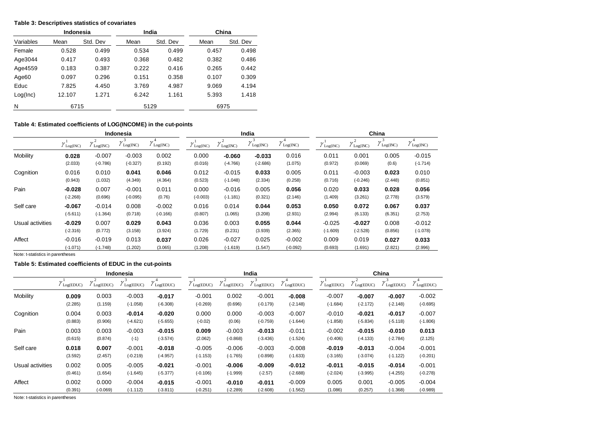#### **Table 3: Descriptives statistics of covariates**

|                   | Indonesia |          | India |          | China |          |  |  |
|-------------------|-----------|----------|-------|----------|-------|----------|--|--|
| Variables         | Mean      | Std. Dev | Mean  | Std. Dev | Mean  | Std. Dev |  |  |
| Female            | 0.528     | 0.499    | 0.534 | 0.499    | 0.457 | 0.498    |  |  |
| Age3044           | 0.417     | 0.493    | 0.368 | 0.482    | 0.382 | 0.486    |  |  |
| Age4559           | 0.183     | 0.387    | 0.222 | 0.416    | 0.265 | 0.442    |  |  |
| Age <sub>60</sub> | 0.097     | 0.296    | 0.151 | 0.358    | 0.107 | 0.309    |  |  |
| Educ              | 7.825     | 4.450    | 3.769 | 4.987    | 9.069 | 4.194    |  |  |
| Log(Inc)          | 12.107    | 1.271    | 6.242 | 1.161    | 5.393 | 1.418    |  |  |
| N                 | 6715      |          | 5129  |          | 6975  |          |  |  |

#### **Table 4: Estimated coefficients of LOG(INCOME) in the cut-points**

|                  |                       |            | Indonesia            |            |                 |            | India                    |                 | China                          |            |                   |                                 |  |
|------------------|-----------------------|------------|----------------------|------------|-----------------|------------|--------------------------|-----------------|--------------------------------|------------|-------------------|---------------------------------|--|
|                  | $\gamma_{Log(INC)}^1$ | Log(NC)    | $\sim$<br>$\log(NC)$ | $\log(NC)$ | $\sim$ Log(INC) | Log(INC)   | $\sqrt{\text{Log(INC)}}$ | $\ell$ Log(INC) | $\gamma$ <sup>1</sup> Log(INC) | Log(NC)    | $\sim$<br>Log(NC) | $\sqrt{\text{Log}(\text{INC})}$ |  |
| Mobility         | 0.028                 | $-0.007$   | $-0.003$             | 0.002      | 0.000           | $-0.060$   | $-0.033$                 | 0.016           | 0.011                          | 0.001      | 0.005             | $-0.015$                        |  |
|                  | (2.033)               | $(-0.786)$ | $(-0.327)$           | (0.192)    | (0.016)         | $(-4.766)$ | $(-2.686)$               | (1.075)         | (0.972)                        | (0.069)    | (0.6)             | $(-1.714)$                      |  |
| Cognition        | 0.016                 | 0.010      | 0.041                | 0.046      | 0.012           | $-0.015$   | 0.033                    | 0.005           | 0.011                          | $-0.003$   | 0.023             | 0.010                           |  |
|                  | (0.943)               | (1.032)    | (4.349)              | (4.364)    | (0.523)         | $(-1.048)$ | (2.334)                  | (0.258)         | (0.716)                        | $(-0.246)$ | (2.448)           | (0.851)                         |  |
| Pain             | $-0.028$              | 0.007      | $-0.001$             | 0.011      | 0.000           | $-0.016$   | 0.005                    | 0.056           | 0.020                          | 0.033      | 0.028             | 0.056                           |  |
|                  | $(-2.268)$            | (0.696)    | $(-0.095)$           | (0.76)     | $(-0.003)$      | $(-1.181)$ | (0.321)                  | (2.146)         | (1.409)                        | (3.261)    | (2.778)           | (3.579)                         |  |
| Self care        | $-0.067$              | $-0.014$   | 0.008                | $-0.002$   | 0.016           | 0.014      | 0.044                    | 0.053           | 0.050                          | 0.072      | 0.067             | 0.037                           |  |
|                  | $(-5.611)$            | $(-1.364)$ | (0.718)              | $(-0.166)$ | (0.807)         | (1.065)    | (3.208)                  | (2.931)         | (2.994)                        | (6.133)    | (6.351)           | (2.753)                         |  |
| Usual activities | $-0.029$              | 0.007      | 0.029                | 0.043      | 0.036           | 0.003      | 0.055                    | 0.044           | $-0.025$                       | $-0.027$   | 0.008             | $-0.012$                        |  |
|                  | $(-2.316)$            | (0.772)    | (3.158)              | (3.924)    | (1.729)         | (0.231)    | (3.939)                  | (2.365)         | $(-1.609)$                     | $(-2.528)$ | (0.856)           | $(-1.078)$                      |  |
| Affect           | $-0.016$              | $-0.019$   | 0.013                | 0.037      | 0.026           | $-0.027$   | 0.025                    | $-0.002$        | 0.009                          | 0.019      | 0.027             | 0.033                           |  |
|                  | $(-1.071)$            | $(-1.748)$ | (1.202)              | (3.065)    | (1.208)         | $(-1.619)$ | (1.547)                  | $(-0.092)$      | (0.693)                        | (1.691)    | (2.821)           | (2.996)                         |  |

Note: t-statistics in parentheses

**Table 5: Estimated coefficients of EDUC in the cut-points**

|                  |                              |            | Indonesia           |            |                  |                     | India      |                     | China           |                           |            |            |  |
|------------------|------------------------------|------------|---------------------|------------|------------------|---------------------|------------|---------------------|-----------------|---------------------------|------------|------------|--|
|                  | $\gamma_{Log(EDUC)}^{\perp}$ | Log(EDUC)  | $\log(\text{EDUC})$ | Log(EDUC)  | $\ell$ Log(EDUC) | $\log(\text{EDUC})$ | Log(EDUC)  | $\log(\text{EDUC})$ | $\mu$ Log(EDUC) | $\sqrt{\text{Log(EDUC)}}$ | Log(EDUC)  | Log(EDUC)  |  |
| Mobility         | 0.009                        | 0.003      | $-0.003$            | $-0.017$   | $-0.001$         | 0.002               | $-0.001$   | $-0.008$            | $-0.007$        | $-0.007$                  | $-0.007$   | $-0.002$   |  |
|                  | (2.285)                      | (1.159)    | $(-1.058)$          | $(-6.308)$ | $(-0.269)$       | (0.696)             | $(-0.179)$ | $(-2.148)$          | $(-1.684)$      | $(-2.172)$                | $(-2.148)$ | $(-0.695)$ |  |
| Cognition        | 0.004                        | 0.003      | $-0.014$            | $-0.020$   | 0.000            | 0.000               | $-0.003$   | $-0.007$            | $-0.010$        | $-0.021$                  | $-0.017$   | $-0.007$   |  |
|                  | (0.883)                      | (0.906)    | $(-4.621)$          | $(-5.655)$ | $(-0.02)$        | (0.06)              | $(-0.759)$ | $(-1.644)$          | $(-1.858)$      | $(-5.834)$                | $(-5.118)$ | $(-1.806)$ |  |
| Pain             | 0.003                        | 0.003      | $-0.003$            | $-0.015$   | 0.009            | $-0.003$            | $-0.013$   | $-0.011$            | $-0.002$        | $-0.015$                  | $-0.010$   | 0.013      |  |
|                  | (0.615)                      | (0.874)    | $(-1)$              | $(-3.574)$ | (2.062)          | $(-0.868)$          | $(-3.436)$ | $(-1.524)$          | $(-0.406)$      | $(-4.133)$                | $(-2.784)$ | (2.125)    |  |
| Self care        | 0.018                        | 0.007      | $-0.001$            | $-0.018$   | $-0.005$         | $-0.006$            | $-0.003$   | $-0.008$            | $-0.019$        | $-0.013$                  | $-0.004$   | $-0.001$   |  |
|                  | (3.592)                      | (2.457)    | $(-0.219)$          | $(-4.957)$ | $(-1.153)$       | $(-1.765)$          | $(-0.898)$ | $(-1.633)$          | $(-3.165)$      | $(-3.074)$                | $(-1.122)$ | $(-0.201)$ |  |
| Usual activities | 0.002                        | 0.005      | $-0.005$            | $-0.021$   | $-0.001$         | $-0.006$            | $-0.009$   | $-0.012$            | $-0.011$        | $-0.015$                  | $-0.014$   | $-0.001$   |  |
|                  | (0.461)                      | (1.654)    | $(-1.645)$          | $(-5.377)$ | $(-0.106)$       | $(-1.999)$          | $(-2.57)$  | $(-2.688)$          | $(-2.024)$      | $(-3.995)$                | $(-4.255)$ | $(-0.278)$ |  |
| Affect           | 0.002                        | 0.000      | $-0.004$            | $-0.015$   | $-0.001$         | $-0.010$            | $-0.011$   | $-0.009$            | 0.005           | 0.001                     | $-0.005$   | $-0.004$   |  |
|                  | (0.391)                      | $(-0.069)$ | $(-1.112)$          | $(-3.811)$ | $(-0.251)$       | $(-2.289)$          | $(-2.608)$ | $(-1.562)$          | (1.086)         | (0.257)                   | $(-1.368)$ | $(-0.989)$ |  |

Note: t-statistics in parentheses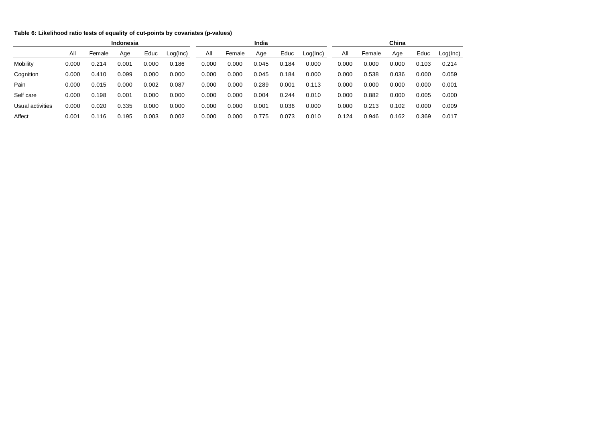#### **Table 6: Likelihood ratio tests of equality of cut-points by covariates (p-values)**

|                  | <b>Indonesia</b> |        |       |       |          |       | India  |       |       |          |       |        | China |       |          |  |  |
|------------------|------------------|--------|-------|-------|----------|-------|--------|-------|-------|----------|-------|--------|-------|-------|----------|--|--|
|                  | All              | Female | Age   | Educ  | Log(Inc) | All   | Female | Age   | Educ  | Log(Inc) | All   | Female | Age   | Educ  | Log(Inc) |  |  |
| Mobility         | 0.000            | 0.214  | 0.001 | 0.000 | 0.186    | 0.000 | 0.000  | 0.045 | 0.184 | 0.000    | 0.000 | 0.000  | 0.000 | 0.103 | 0.214    |  |  |
| Cognition        | 0.000            | 0.410  | 0.099 | 0.000 | 0.000    | 0.000 | 0.000  | 0.045 | 0.184 | 0.000    | 0.000 | 0.538  | 0.036 | 0.000 | 0.059    |  |  |
| Pain             | 0.000            | 0.015  | 0.000 | 0.002 | 0.087    | 0.000 | 0.000  | 0.289 | 0.001 | 0.113    | 0.000 | 0.000  | 0.000 | 0.000 | 0.001    |  |  |
| Self care        | 0.000            | 0.198  | 0.001 | 0.000 | 0.000    | 0.000 | 0.000  | 0.004 | 0.244 | 0.010    | 0.000 | 0.882  | 0.000 | 0.005 | 0.000    |  |  |
| Usual activities | 0.000            | 0.020  | 0.335 | 0.000 | 0.000    | 0.000 | 0.000  | 0.001 | 0.036 | 0.000    | 0.000 | 0.213  | 0.102 | 0.000 | 0.009    |  |  |
| Affect           | 0.001            | 0.116  | 0.195 | 0.003 | 0.002    | 0.000 | 0.000  | 0.775 | 0.073 | 0.010    | 0.124 | 0.946  | 0.162 | 0.369 | 0.017    |  |  |